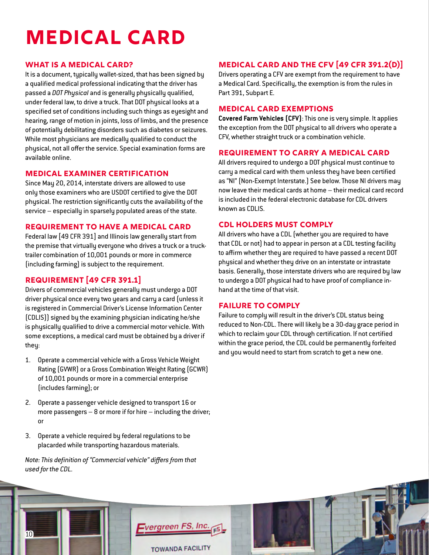# **Medical Card**

## **What is a Medical Card?**

It is a document, typically wallet-sized, that has been signed by a qualified medical professional indicating that the driver has passed a *DOT Physical* and is generally physically qualified, under federal law, to drive a truck. That DOT physical looks at a specified set of conditions including such things as eyesight and hearing, range of motion in joints, loss of limbs, and the presence of potentially debilitating disorders such as diabetes or seizures. While most physicians are medically qualified to conduct the physical, not all offer the service. Special examination forms are available online.

## **Medical Examiner Certification**

Since May 20, 2014, interstate drivers are allowed to use only those examiners who are USDOT certified to give the DOT physical. The restriction significantly cuts the availability of the service – especially in sparsely populated areas of the state.

### **Requirement to Have a Medical Card**

Federal law [49 CFR 391] and Illinois law generally start from the premise that virtually everyone who drives a truck or a trucktrailer combination of 10,001 pounds or more in commerce (including farming) is subject to the requirement.

## **Requirement [49 CFR 391.1]**

Drivers of commercial vehicles generally must undergo a DOT driver physical once every two years and carry a card (unless it is registered in Commercial Driver's License Information Center (CDLIS)) signed by the examining physician indicating he/she is physically qualified to drive a commercial motor vehicle. With some exceptions, a medical card must be obtained by a driver if they:

- 1. Operate a commercial vehicle with a Gross Vehicle Weight Rating (GVWR) or a Gross Combination Weight Rating (GCWR) of 10,001 pounds or more in a commercial enterprise (includes farming); or
- 2. Operate a passenger vehicle designed to transport 16 or more passengers  $-8$  or more if for hire  $-$  including the driver; or
- 3. Operate a vehicle required by federal regulations to be placarded while transporting hazardous materials.

*Note: This definition of "Commercial vehicle" differs from that used for the CDL.*

## **Medical Card and the CFV [49 CFR 391.2(d)]**

Drivers operating a CFV are exempt from the requirement to have a Medical Card. Specifically, the exemption is from the rules in Part 391, Subpart E.

#### **Medical Card Exemptions**

**Covered Farm Vehicles (CFV)**: This one is very simple. It applies the exception from the DOT physical to all drivers who operate a CFV, whether straight truck or a combination vehicle.

#### **Requirement to Carry a Medical Card**

All drivers required to undergo a DOT physical must continue to carry a medical card with them unless they have been certified as "NI" (Non-Exempt Interstate.) See below. Those NI drivers may now leave their medical cards at home – their medical card record is included in the federal electronic database for CDL drivers known as CDLIS.

#### **CDL holders must comply**

All drivers who have a CDL (whether you are required to have that CDL or not) had to appear in person at a CDL testing facility to affirm whether they are required to have passed a recent DOT physical and whether they drive on an interstate or intrastate basis. Generally, those interstate drivers who are required by law to undergo a DOT physical had to have proof of compliance inhand at the time of that visit.

### **Failure to Comply**

Failure to comply will result in the driver's CDL status being reduced to Non-CDL. There will likely be a 30-day grace period in which to reclaim your CDL through certification. If not certified within the grace period, the CDL could be permanently forfeited and you would need to start from scratch to get a new one.